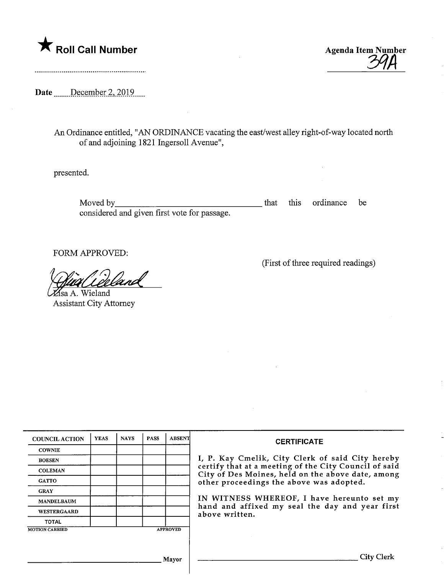

Roll Call Number<br>
Agenda Item Number<br>
294

Date .......December 2, 2019....

An Ordinance entitled, "AN ORDINANCE vacating the east/west alley right-of-way located north of and adjoining 1821 Ingersoll Avenue",

presented.

Moved by\_ considered and given first vote for passage. that this ordinance be

FORM APPROVED:

[sa A. Wieland Assistant City Attorney

(First of three required readings)

| <b>COUNCIL ACTION</b> | <b>YEAS</b> | <b>NAYS</b> | <b>PASS</b> | <b>ABSENT</b>   | <b>CERTIFICATE</b>                                                                                                                                                                                                                                                                                                            |
|-----------------------|-------------|-------------|-------------|-----------------|-------------------------------------------------------------------------------------------------------------------------------------------------------------------------------------------------------------------------------------------------------------------------------------------------------------------------------|
| <b>COWNIE</b>         |             |             |             |                 |                                                                                                                                                                                                                                                                                                                               |
| <b>BOESEN</b>         |             |             |             |                 | I, P. Kay Cmelik, City Clerk of said City hereby<br>certify that at a meeting of the City Council of said<br>City of Des Moines, held on the above date, among<br>other proceedings the above was adopted.<br>IN WITNESS WHEREOF, I have hereunto set my<br>hand and affixed my seal the day and year first<br>above written. |
| <b>COLEMAN</b>        |             |             |             |                 |                                                                                                                                                                                                                                                                                                                               |
| <b>GATTO</b>          |             |             |             |                 |                                                                                                                                                                                                                                                                                                                               |
| <b>GRAY</b>           |             |             |             |                 |                                                                                                                                                                                                                                                                                                                               |
| <b>MANDELBAUM</b>     |             |             |             |                 |                                                                                                                                                                                                                                                                                                                               |
| <b>WESTERGAARD</b>    |             |             |             |                 |                                                                                                                                                                                                                                                                                                                               |
| <b>TOTAL</b>          |             |             |             |                 |                                                                                                                                                                                                                                                                                                                               |
| <b>MOTION CARRIED</b> |             |             |             | <b>APPROVED</b> |                                                                                                                                                                                                                                                                                                                               |
|                       |             |             |             |                 |                                                                                                                                                                                                                                                                                                                               |
| Mayor                 |             |             |             |                 | City Clerk                                                                                                                                                                                                                                                                                                                    |

<sub>,</sub> Mayor